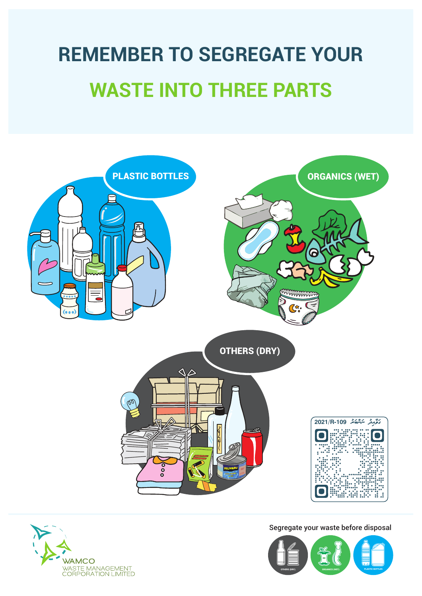### **REMEMBER TO SEGREGATE YOUR WASTE INTO THREE PARTS**





Segregate your waste before disposal

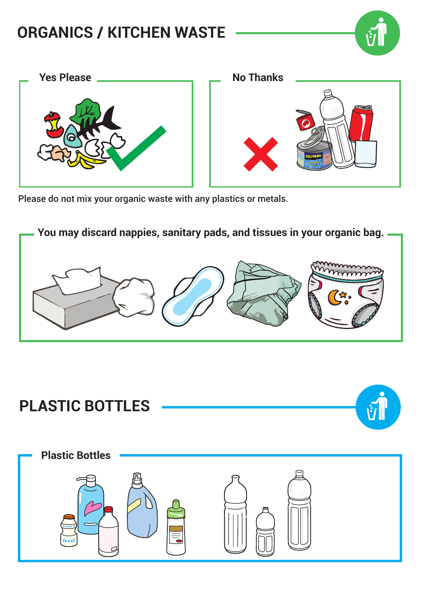### **ORGANICS / KITCHEN WASTE**



Please do not mix your organic waste with any plastics or metals.



## **PLASTIC BOTTLES Plastic Bottles**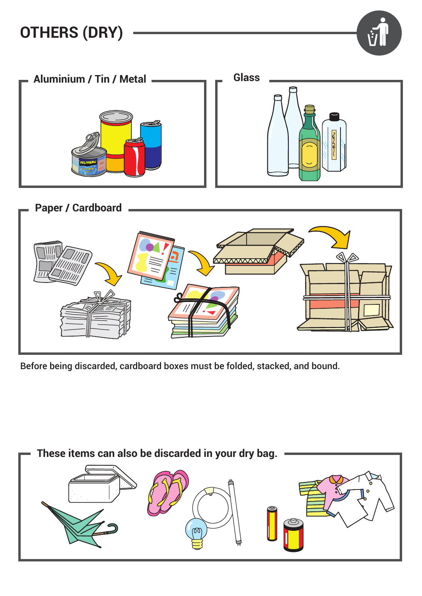



Before being discarded, cardboard boxes must be folded, stacked, and bound.

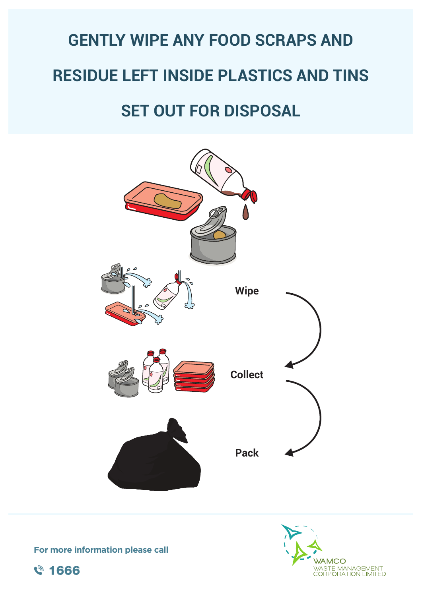### **GENTLY WIPE ANY FOOD SCRAPS AND RESIDUE LEFT INSIDE PLASTICS AND TINS SET OUT FOR DISPOSAL**

# **Wipe Collect Pack**



**For more information please call**

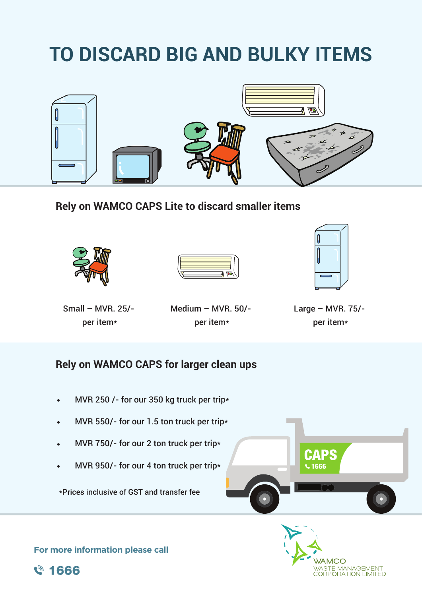### **TO DISCARD BIG AND BULKY ITEMS**



**Rely on WAMCO CAPS Lite to discard smaller items**







Small – MVR. 25/ per item\*

Medium – MVR. 50/ per item\*

Large – MVR. 75/ per item\*

#### **Rely on WAMCO CAPS for larger clean ups**

- MVR 250 /- for our 350 kg truck per trip\*
- MVR 550/- for our 1.5 ton truck per trip\*  $\bullet$
- MVR 750/- for our 2 ton truck per trip\*  $\bullet$
- MVR 950/- for our 4 ton truck per trip\*  $\bullet$

\*Prices inclusive of GST and transfer fee





**For more information please call**

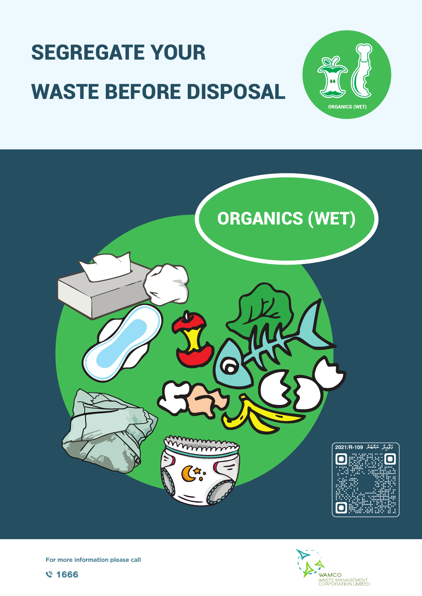### **SEGREGATE YOUR WASTE BEFORE DISPOSAL**



For more information please call





**ORGANICS (WET)**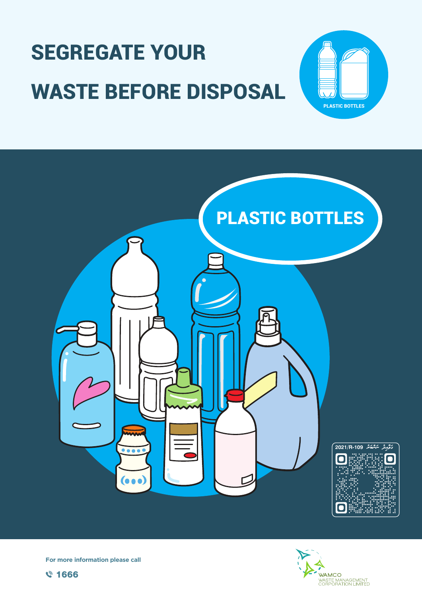





For more information please call





**PLASTIC BOTTLES**